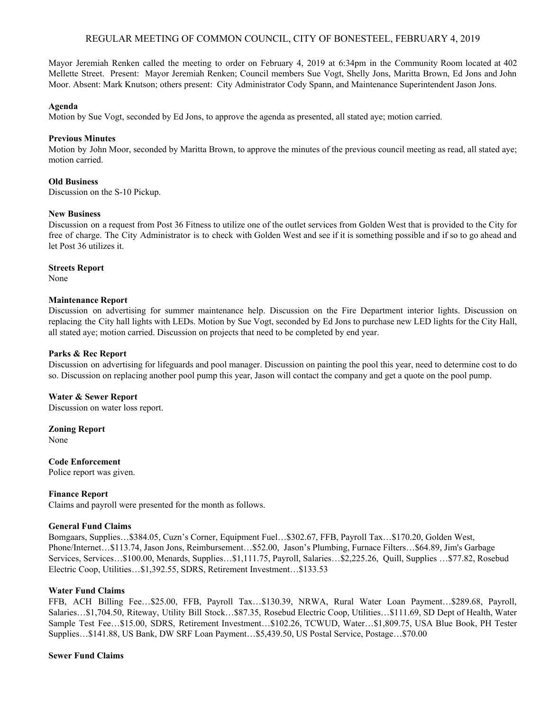## REGULAR MEETING OF COMMON COUNCIL, CITY OF BONESTEEL, FEBRUARY 4, 2019

Mayor Jeremiah Renken called the meeting to order on February 4, 2019 at 6:34pm in the Community Room located at 402 Mellette Street. Present: Mayor Jeremiah Renken; Council members Sue Vogt, Shelly Jons, Maritta Brown, Ed Jons and John Moor. Absent: Mark Knutson; others present: City Administrator Cody Spann, and Maintenance Superintendent Jason Jons.

#### **Agenda**

Motion by Sue Vogt, seconded by Ed Jons, to approve the agenda as presented, all stated aye; motion carried.

## **Previous Minutes**

Motion by John Moor, seconded by Maritta Brown, to approve the minutes of the previous council meeting as read, all stated aye; motion carried.

## **Old Business**

Discussion on the S-10 Pickup.

## **New Business**

Discussion on a request from Post 36 Fitness to utilize one of the outlet services from Golden West that is provided to the City for free of charge. The City Administrator is to check with Golden West and see if it is something possible and if so to go ahead and let Post 36 utilizes it.

#### **Streets Report**

None

## **Maintenance Report**

Discussion on advertising for summer maintenance help. Discussion on the Fire Department interior lights. Discussion on replacing the City hall lights with LEDs. Motion by Sue Vogt, seconded by Ed Jons to purchase new LED lights for the City Hall, all stated aye; motion carried. Discussion on projects that need to be completed by end year.

## **Parks & Rec Report**

Discussion on advertising for lifeguards and pool manager. Discussion on painting the pool this year, need to determine cost to do so. Discussion on replacing another pool pump this year, Jason will contact the company and get a quote on the pool pump.

## **Water & Sewer Report**

Discussion on water loss report.

#### **Zoning Report**

None

#### **Code Enforcement**

Police report was given.

#### **Finance Report**

Claims and payroll were presented for the month as follows.

#### **General Fund Claims**

Bomgaars, Supplies…\$384.05, Cuzn's Corner, Equipment Fuel…\$302.67, FFB, Payroll Tax…\$170.20, Golden West, Phone/Internet…\$113.74, Jason Jons, Reimbursement…\$52.00, Jason's Plumbing, Furnace Filters…\$64.89, Jim's Garbage Services, Services…\$100.00, Menards, Supplies…\$1,111.75, Payroll, Salaries…\$2,225.26, Quill, Supplies …\$77.82, Rosebud Electric Coop, Utilities…\$1,392.55, SDRS, Retirement Investment…\$133.53

#### **Water Fund Claims**

FFB, ACH Billing Fee…\$25.00, FFB, Payroll Tax…\$130.39, NRWA, Rural Water Loan Payment…\$289.68, Payroll, Salaries…\$1,704.50, Riteway, Utility Bill Stock…\$87.35, Rosebud Electric Coop, Utilities…\$111.69, SD Dept of Health, Water Sample Test Fee…\$15.00, SDRS, Retirement Investment…\$102.26, TCWUD, Water…\$1,809.75, USA Blue Book, PH Tester Supplies…\$141.88, US Bank, DW SRF Loan Payment…\$5,439.50, US Postal Service, Postage…\$70.00

#### **Sewer Fund Claims**